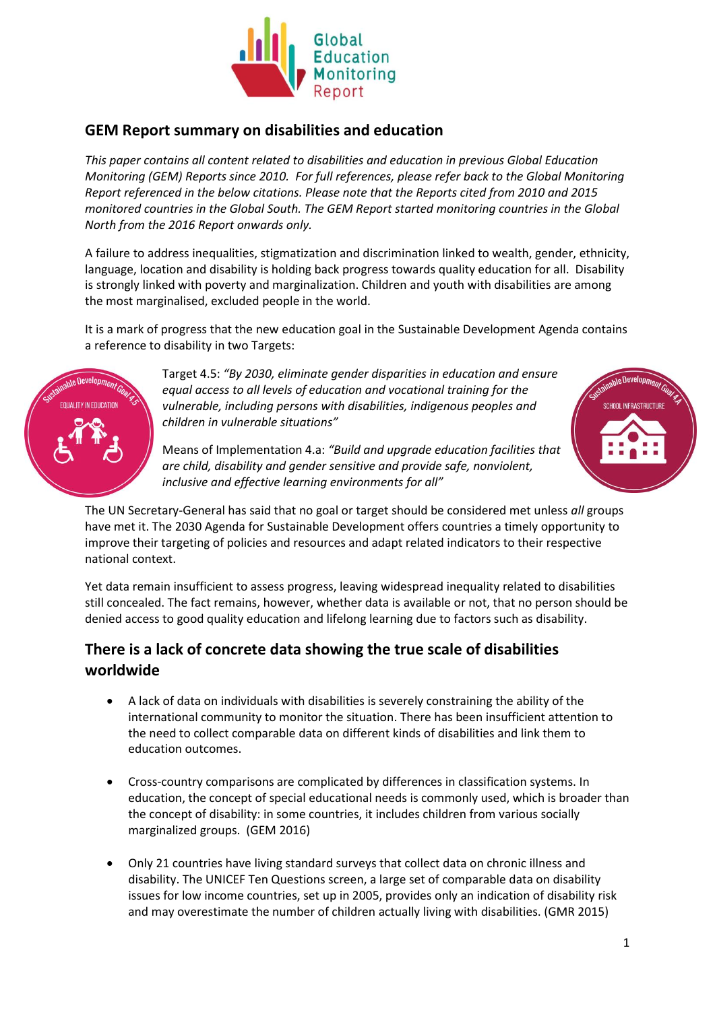

### **GEM Report summary on disabilities and education**

*This paper contains all content related to disabilities and education in previous Global Education Monitoring (GEM) Reports since 2010. For full references, please refer back to the Global Monitoring Report referenced in the below citations. Please note that the Reports cited from 2010 and 2015 monitored countries in the Global South. The GEM Report started monitoring countries in the Global North from the 2016 Report onwards only.* 

A failure to address inequalities, stigmatization and discrimination linked to wealth, gender, ethnicity, language, location and disability is holding back progress towards quality education for all. Disability is strongly linked with poverty and marginalization. Children and youth with disabilities are among the most marginalised, excluded people in the world.

It is a mark of progress that the new education goal in the Sustainable Development Agenda contains a reference to disability in two Targets:



Target 4.5: *"By 2030, eliminate gender disparities in education and ensure equal access to all levels of education and vocational training for the vulnerable, including persons with disabilities, indigenous peoples and children in vulnerable situations"*



Means of Implementation 4.a: *"Build and upgrade education facilities that are child, disability and gender sensitive and provide safe, nonviolent, inclusive and effective learning environments for all"*

The UN Secretary-General has said that no goal or target should be considered met unless *all* groups have met it. The 2030 Agenda for Sustainable Development offers countries a timely opportunity to improve their targeting of policies and resources and adapt related indicators to their respective national context.

Yet data remain insufficient to assess progress, leaving widespread inequality related to disabilities still concealed. The fact remains, however, whether data is available or not, that no person should be denied access to good quality education and lifelong learning due to factors such as disability.

# **There is a lack of concrete data showing the true scale of disabilities worldwide**

- A lack of data on individuals with disabilities is severely constraining the ability of the international community to monitor the situation. There has been insufficient attention to the need to collect comparable data on different kinds of disabilities and link them to education outcomes.
- Cross-country comparisons are complicated by differences in classification systems. In education, the concept of special educational needs is commonly used, which is broader than the concept of disability: in some countries, it includes children from various socially marginalized groups. (GEM 2016)
- Only 21 countries have living standard surveys that collect data on chronic illness and disability. The UNICEF Ten Questions screen, a large set of comparable data on disability issues for low income countries, set up in 2005, provides only an indication of disability risk and may overestimate the number of children actually living with disabilities. (GMR 2015)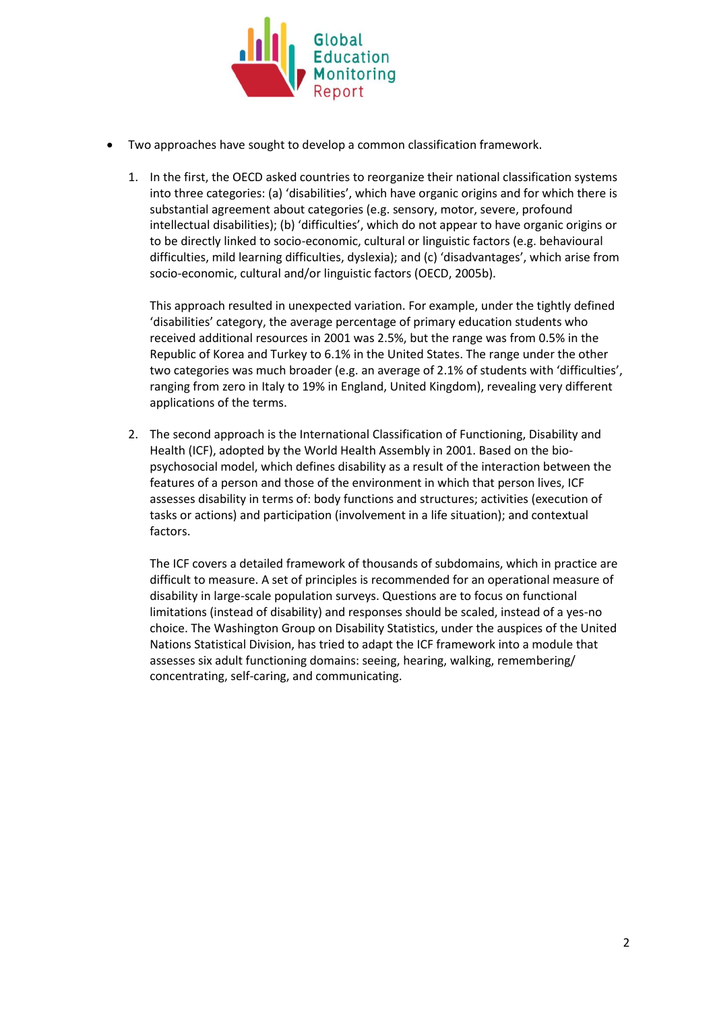

- Two approaches have sought to develop a common classification framework.
	- 1. In the first, the OECD asked countries to reorganize their national classification systems into three categories: (a) 'disabilities', which have organic origins and for which there is substantial agreement about categories (e.g. sensory, motor, severe, profound intellectual disabilities); (b) 'difficulties', which do not appear to have organic origins or to be directly linked to socio-economic, cultural or linguistic factors (e.g. behavioural difficulties, mild learning difficulties, dyslexia); and (c) 'disadvantages', which arise from socio-economic, cultural and/or linguistic factors (OECD, 2005b).

This approach resulted in unexpected variation. For example, under the tightly defined 'disabilities' category, the average percentage of primary education students who received additional resources in 2001 was 2.5%, but the range was from 0.5% in the Republic of Korea and Turkey to 6.1% in the United States. The range under the other two categories was much broader (e.g. an average of 2.1% of students with 'difficulties', ranging from zero in Italy to 19% in England, United Kingdom), revealing very different applications of the terms.

2. The second approach is the International Classification of Functioning, Disability and Health (ICF), adopted by the World Health Assembly in 2001. Based on the biopsychosocial model, which defines disability as a result of the interaction between the features of a person and those of the environment in which that person lives, ICF assesses disability in terms of: body functions and structures; activities (execution of tasks or actions) and participation (involvement in a life situation); and contextual factors.

The ICF covers a detailed framework of thousands of subdomains, which in practice are difficult to measure. A set of principles is recommended for an operational measure of disability in large-scale population surveys. Questions are to focus on functional limitations (instead of disability) and responses should be scaled, instead of a yes-no choice. The Washington Group on Disability Statistics, under the auspices of the United Nations Statistical Division, has tried to adapt the ICF framework into a module that assesses six adult functioning domains: seeing, hearing, walking, remembering/ concentrating, self-caring, and communicating.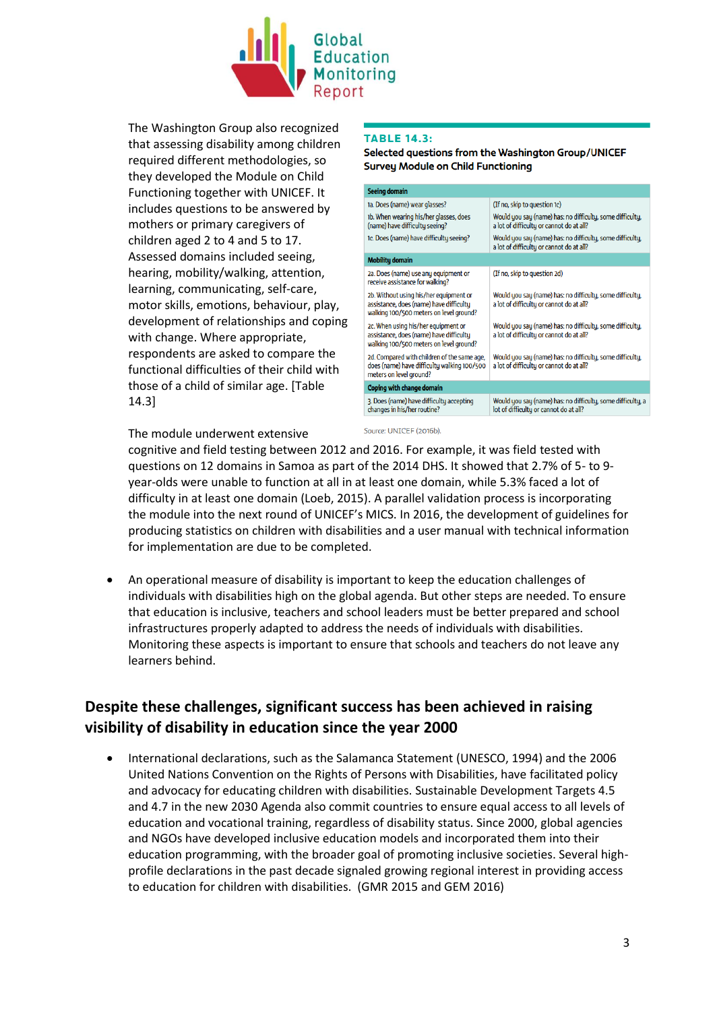

The Washington Group also recognized that assessing disability among children required different methodologies, so they developed the Module on Child Functioning together with UNICEF. It includes questions to be answered by mothers or primary caregivers of children aged 2 to 4 and 5 to 17. Assessed domains included seeing, hearing, mobility/walking, attention, learning, communicating, self-care, motor skills, emotions, behaviour, play, development of relationships and coping with change. Where appropriate, respondents are asked to compare the functional difficulties of their child with those of a child of similar age. [Table 14.3]

### **TABLE 14.3:**

Selected questions from the Washington Group/UNICEF **Survey Module on Child Functioning** 

| <b>Seeing domain</b>                                                                                                         |                                                                                                       |
|------------------------------------------------------------------------------------------------------------------------------|-------------------------------------------------------------------------------------------------------|
| 1a. Does (name) wear glasses?                                                                                                | (If no, skip to question 1c)                                                                          |
| 1b. When wearing his/her glasses, does<br>(name) have difficulty seeing?                                                     | Would you say (name) has: no difficulty, some difficulty,<br>a lot of difficulty or cannot do at all? |
| 1c. Does (name) have difficulty seeing?                                                                                      | Would you say (name) has: no difficulty, some difficulty,<br>a lot of difficulty or cannot do at all? |
| <b>Mobility domain</b>                                                                                                       |                                                                                                       |
| 2a. Does (name) use any equipment or<br>receive assistance for walking?                                                      | (If no, skip to question 2d)                                                                          |
| 2b. Without using his/her equipment or<br>assistance, does (name) have difficulty<br>walking 100/500 meters on level ground? | Would you say (name) has: no difficulty, some difficulty,<br>a lot of difficulty or cannot do at all? |
| 2c. When using his/her equipment or<br>assistance, does (name) have difficulty<br>walking 100/500 meters on level ground?    | Would you say (name) has: no difficulty, some difficulty,<br>a lot of difficulty or cannot do at all? |
| 2d. Compared with children of the same age,<br>does (name) have difficulty walking 100/500<br>meters on level ground?        | Would you say (name) has: no difficulty, some difficulty,<br>a lot of difficulty or cannot do at all? |
| <b>Coping with change domain</b>                                                                                             |                                                                                                       |
| 3. Does (name) have difficulty accepting<br>changes in his/her routine?                                                      | Would you say (name) has: no difficulty, some difficulty, a<br>lot of difficulty or cannot do at all? |

The module underwent extensive

cognitive and field testing between 2012 and 2016. For example, it was field tested with questions on 12 domains in Samoa as part of the 2014 DHS. It showed that 2.7% of 5- to 9 year-olds were unable to function at all in at least one domain, while 5.3% faced a lot of difficulty in at least one domain (Loeb, 2015). A parallel validation process is incorporating the module into the next round of UNICEF's MICS. In 2016, the development of guidelines for producing statistics on children with disabilities and a user manual with technical information for implementation are due to be completed.

Source: UNICEF (2016b)

 An operational measure of disability is important to keep the education challenges of individuals with disabilities high on the global agenda. But other steps are needed. To ensure that education is inclusive, teachers and school leaders must be better prepared and school infrastructures properly adapted to address the needs of individuals with disabilities. Monitoring these aspects is important to ensure that schools and teachers do not leave any learners behind.

# **Despite these challenges, significant success has been achieved in raising visibility of disability in education since the year 2000**

 International declarations, such as the Salamanca Statement (UNESCO, 1994) and the 2006 United Nations Convention on the Rights of Persons with Disabilities, have facilitated policy and advocacy for educating children with disabilities. Sustainable Development Targets 4.5 and 4.7 in the new 2030 Agenda also commit countries to ensure equal access to all levels of education and vocational training, regardless of disability status. Since 2000, global agencies and NGOs have developed inclusive education models and incorporated them into their education programming, with the broader goal of promoting inclusive societies. Several highprofile declarations in the past decade signaled growing regional interest in providing access to education for children with disabilities. (GMR 2015 and GEM 2016)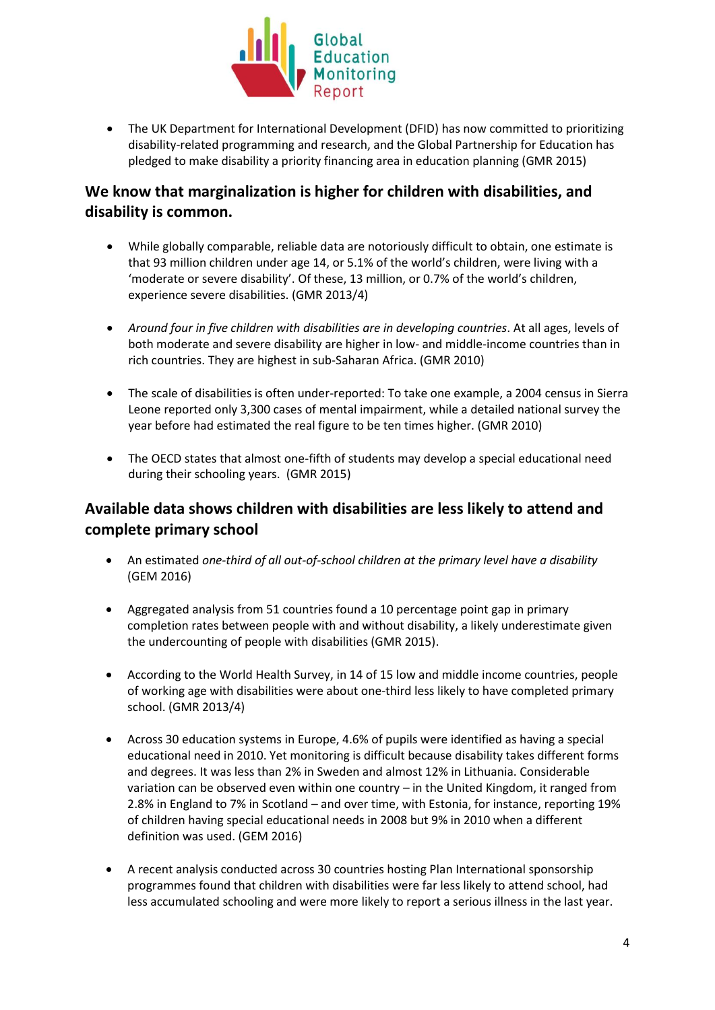

 The UK Department for International Development (DFID) has now committed to prioritizing disability-related programming and research, and the Global Partnership for Education has pledged to make disability a priority financing area in education planning (GMR 2015)

# **We know that marginalization is higher for children with disabilities, and disability is common.**

- While globally comparable, reliable data are notoriously difficult to obtain, one estimate is that 93 million children under age 14, or 5.1% of the world's children, were living with a 'moderate or severe disability'. Of these, 13 million, or 0.7% of the world's children, experience severe disabilities. (GMR 2013/4)
- *Around four in five children with disabilities are in developing countries*. At all ages, levels of both moderate and severe disability are higher in low- and middle-income countries than in rich countries. They are highest in sub-Saharan Africa. (GMR 2010)
- The scale of disabilities is often under-reported: To take one example, a 2004 census in Sierra Leone reported only 3,300 cases of mental impairment, while a detailed national survey the year before had estimated the real figure to be ten times higher. (GMR 2010)
- The OECD states that almost one-fifth of students may develop a special educational need during their schooling years. (GMR 2015)

# **Available data shows children with disabilities are less likely to attend and complete primary school**

- An estimated *one-third of all out-of-school children at the primary level have a disability* (GEM 2016)
- Aggregated analysis from 51 countries found a 10 percentage point gap in primary completion rates between people with and without disability, a likely underestimate given the undercounting of people with disabilities (GMR 2015).
- According to the World Health Survey, in 14 of 15 low and middle income countries, people of working age with disabilities were about one-third less likely to have completed primary school. (GMR 2013/4)
- Across 30 education systems in Europe, 4.6% of pupils were identified as having a special educational need in 2010. Yet monitoring is difficult because disability takes different forms and degrees. It was less than 2% in Sweden and almost 12% in Lithuania. Considerable variation can be observed even within one country – in the United Kingdom, it ranged from 2.8% in England to 7% in Scotland – and over time, with Estonia, for instance, reporting 19% of children having special educational needs in 2008 but 9% in 2010 when a different definition was used. (GEM 2016)
- A recent analysis conducted across 30 countries hosting Plan International sponsorship programmes found that children with disabilities were far less likely to attend school, had less accumulated schooling and were more likely to report a serious illness in the last year.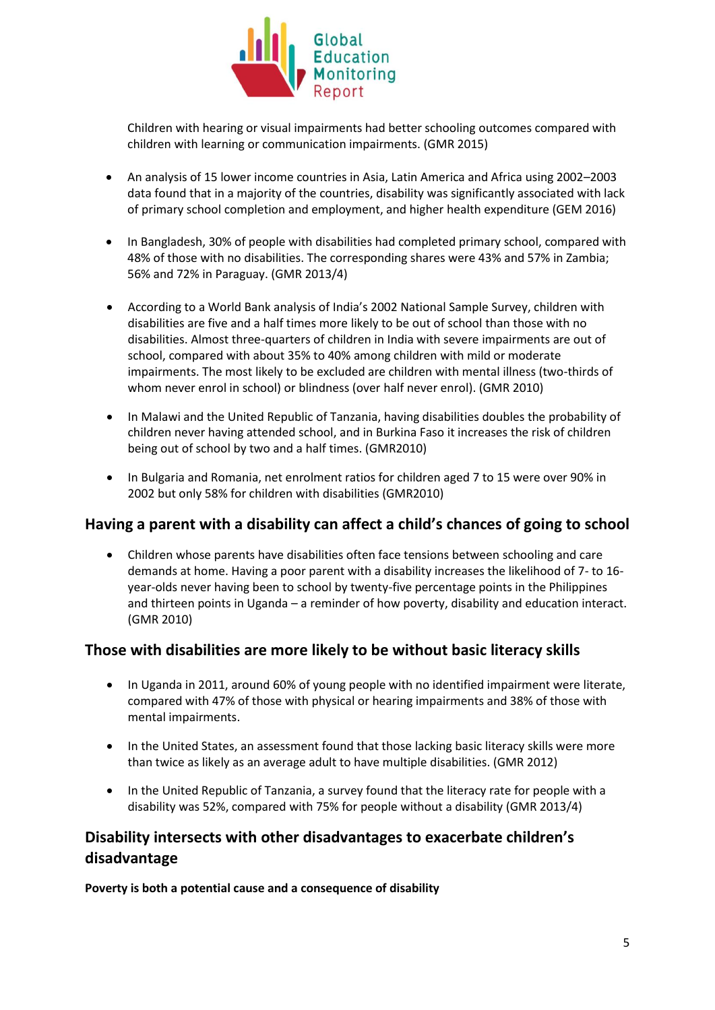

Children with hearing or visual impairments had better schooling outcomes compared with children with learning or communication impairments. (GMR 2015)

- An analysis of 15 lower income countries in Asia, Latin America and Africa using 2002–2003 data found that in a majority of the countries, disability was significantly associated with lack of primary school completion and employment, and higher health expenditure (GEM 2016)
- In Bangladesh, 30% of people with disabilities had completed primary school, compared with 48% of those with no disabilities. The corresponding shares were 43% and 57% in Zambia; 56% and 72% in Paraguay. (GMR 2013/4)
- According to a World Bank analysis of India's 2002 National Sample Survey, children with disabilities are five and a half times more likely to be out of school than those with no disabilities. Almost three-quarters of children in India with severe impairments are out of school, compared with about 35% to 40% among children with mild or moderate impairments. The most likely to be excluded are children with mental illness (two-thirds of whom never enrol in school) or blindness (over half never enrol). (GMR 2010)
- In Malawi and the United Republic of Tanzania, having disabilities doubles the probability of children never having attended school, and in Burkina Faso it increases the risk of children being out of school by two and a half times. (GMR2010)
- In Bulgaria and Romania, net enrolment ratios for children aged 7 to 15 were over 90% in 2002 but only 58% for children with disabilities (GMR2010)

### **Having a parent with a disability can affect a child's chances of going to school**

 Children whose parents have disabilities often face tensions between schooling and care demands at home. Having a poor parent with a disability increases the likelihood of 7- to 16 year-olds never having been to school by twenty-five percentage points in the Philippines and thirteen points in Uganda – a reminder of how poverty, disability and education interact. (GMR 2010)

### **Those with disabilities are more likely to be without basic literacy skills**

- In Uganda in 2011, around 60% of young people with no identified impairment were literate, compared with 47% of those with physical or hearing impairments and 38% of those with mental impairments.
- In the United States, an assessment found that those lacking basic literacy skills were more than twice as likely as an average adult to have multiple disabilities. (GMR 2012)
- In the United Republic of Tanzania, a survey found that the literacy rate for people with a disability was 52%, compared with 75% for people without a disability (GMR 2013/4)

# **Disability intersects with other disadvantages to exacerbate children's disadvantage**

**Poverty is both a potential cause and a consequence of disability**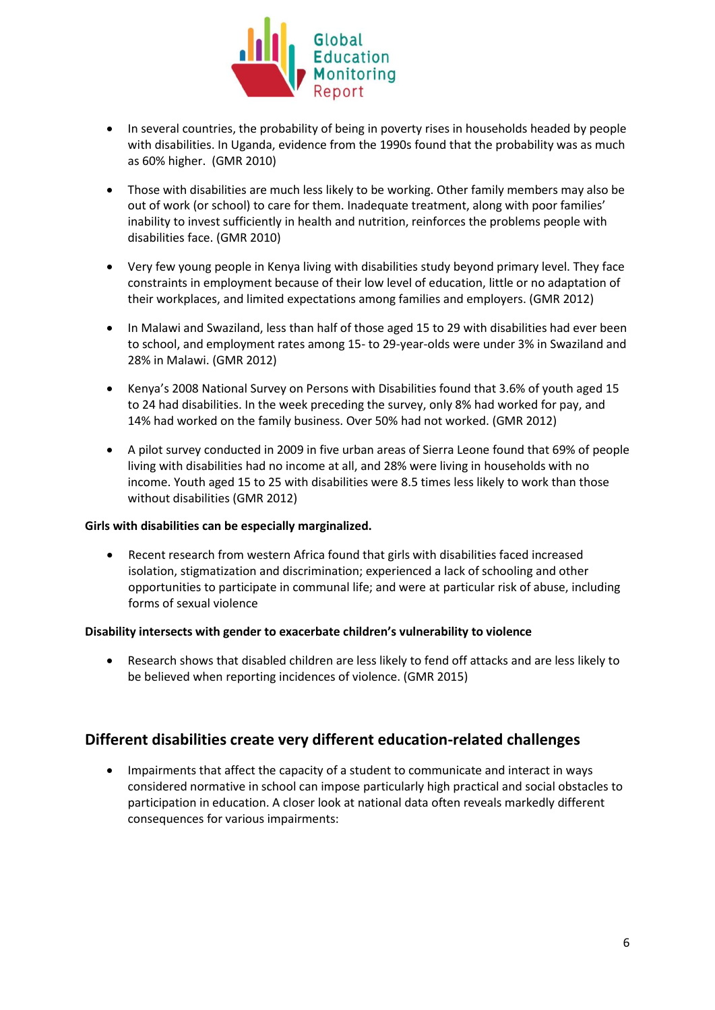

- In several countries, the probability of being in poverty rises in households headed by people with disabilities. In Uganda, evidence from the 1990s found that the probability was as much as 60% higher. (GMR 2010)
- Those with disabilities are much less likely to be working. Other family members may also be out of work (or school) to care for them. Inadequate treatment, along with poor families' inability to invest sufficiently in health and nutrition, reinforces the problems people with disabilities face. (GMR 2010)
- Very few young people in Kenya living with disabilities study beyond primary level. They face constraints in employment because of their low level of education, little or no adaptation of their workplaces, and limited expectations among families and employers. (GMR 2012)
- In Malawi and Swaziland, less than half of those aged 15 to 29 with disabilities had ever been to school, and employment rates among 15- to 29-year-olds were under 3% in Swaziland and 28% in Malawi. (GMR 2012)
- Kenya's 2008 National Survey on Persons with Disabilities found that 3.6% of youth aged 15 to 24 had disabilities. In the week preceding the survey, only 8% had worked for pay, and 14% had worked on the family business. Over 50% had not worked. (GMR 2012)
- A pilot survey conducted in 2009 in five urban areas of Sierra Leone found that 69% of people living with disabilities had no income at all, and 28% were living in households with no income. Youth aged 15 to 25 with disabilities were 8.5 times less likely to work than those without disabilities (GMR 2012)

### **Girls with disabilities can be especially marginalized.**

 Recent research from western Africa found that girls with disabilities faced increased isolation, stigmatization and discrimination; experienced a lack of schooling and other opportunities to participate in communal life; and were at particular risk of abuse, including forms of sexual violence

### **Disability intersects with gender to exacerbate children's vulnerability to violence**

 Research shows that disabled children are less likely to fend off attacks and are less likely to be believed when reporting incidences of violence. (GMR 2015)

### **Different disabilities create very different education-related challenges**

 Impairments that affect the capacity of a student to communicate and interact in ways considered normative in school can impose particularly high practical and social obstacles to participation in education. A closer look at national data often reveals markedly different consequences for various impairments: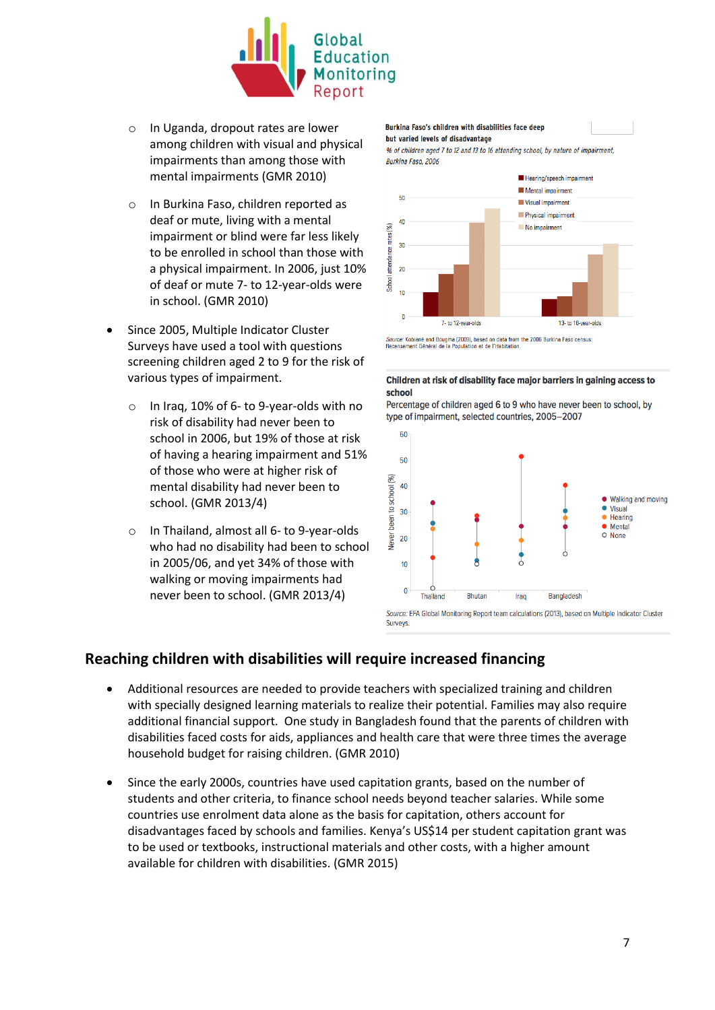

- o In Uganda, dropout rates are lower among children with visual and physical impairments than among those with mental impairments (GMR 2010)
- o In Burkina Faso, children reported as deaf or mute, living with a mental impairment or blind were far less likely to be enrolled in school than those with a physical impairment. In 2006, just 10% of deaf or mute 7- to 12-year-olds were in school. (GMR 2010)
- Since 2005, Multiple Indicator Cluster Surveys have used a tool with questions screening children aged 2 to 9 for the risk of various types of impairment.
	- o In Iraq, 10% of 6- to 9-year-olds with no risk of disability had never been to school in 2006, but 19% of those at risk of having a hearing impairment and 51% of those who were at higher risk of mental disability had never been to school. (GMR 2013/4)
	- o In Thailand, almost all 6- to 9-year-olds who had no disability had been to school in 2005/06, and yet 34% of those with walking or moving impairments had never been to school. (GMR 2013/4)

#### Burkina Faso's children with disabilities face deep

#### but varied levels of disadvantage

% of children aged 7 to 12 and 13 to 16 attending school, by nature of impairment. Burkina Faso, 2006



Source: Kobiané and Bougma (2009), based on data from the 2006 Burkina Faso census:<br>Recensement Général de la Population et de l'Habitation.

### Children at risk of disability face major barriers in gaining access to school

Percentage of children aged 6 to 9 who have never been to school, by type of impairment, selected countries, 2005-2007



Source: EFA Global Monitoring Report team calculations (2013), based on Multiple Indicator Cluster Surveys

### **Reaching children with disabilities will require increased financing**

- Additional resources are needed to provide teachers with specialized training and children with specially designed learning materials to realize their potential. Families may also require additional financial support. One study in Bangladesh found that the parents of children with disabilities faced costs for aids, appliances and health care that were three times the average household budget for raising children. (GMR 2010)
- Since the early 2000s, countries have used capitation grants, based on the number of students and other criteria, to finance school needs beyond teacher salaries. While some countries use enrolment data alone as the basis for capitation, others account for disadvantages faced by schools and families. Kenya's US\$14 per student capitation grant was to be used or textbooks, instructional materials and other costs, with a higher amount available for children with disabilities. (GMR 2015)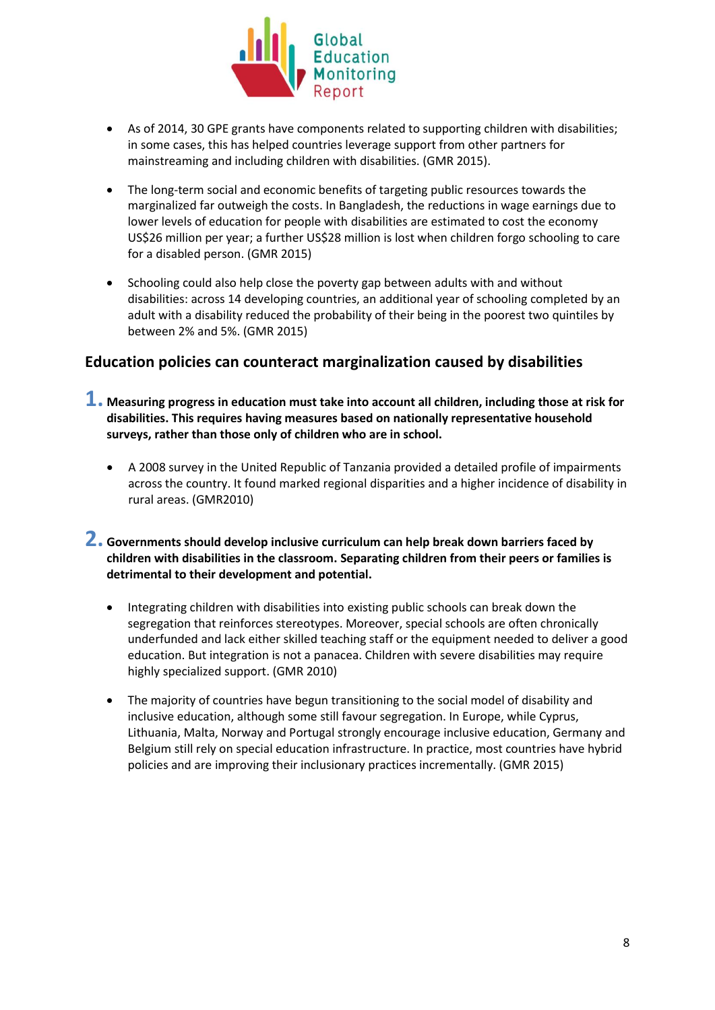

- As of 2014, 30 GPE grants have components related to supporting children with disabilities; in some cases, this has helped countries leverage support from other partners for mainstreaming and including children with disabilities. (GMR 2015).
- The long-term social and economic benefits of targeting public resources towards the marginalized far outweigh the costs. In Bangladesh, the reductions in wage earnings due to lower levels of education for people with disabilities are estimated to cost the economy US\$26 million per year; a further US\$28 million is lost when children forgo schooling to care for a disabled person. (GMR 2015)
- Schooling could also help close the poverty gap between adults with and without disabilities: across 14 developing countries, an additional year of schooling completed by an adult with a disability reduced the probability of their being in the poorest two quintiles by between 2% and 5%. (GMR 2015)

### **Education policies can counteract marginalization caused by disabilities**

- **1. Measuring progress in education must take into account all children, including those at risk for disabilities. This requires having measures based on nationally representative household surveys, rather than those only of children who are in school.**
	- A 2008 survey in the United Republic of Tanzania provided a detailed profile of impairments across the country. It found marked regional disparities and a higher incidence of disability in rural areas. (GMR2010)

### **2. Governments should develop inclusive curriculum can help break down barriers faced by children with disabilities in the classroom. Separating children from their peers or families is detrimental to their development and potential.**

- Integrating children with disabilities into existing public schools can break down the segregation that reinforces stereotypes. Moreover, special schools are often chronically underfunded and lack either skilled teaching staff or the equipment needed to deliver a good education. But integration is not a panacea. Children with severe disabilities may require highly specialized support. (GMR 2010)
- The majority of countries have begun transitioning to the social model of disability and inclusive education, although some still favour segregation. In Europe, while Cyprus, Lithuania, Malta, Norway and Portugal strongly encourage inclusive education, Germany and Belgium still rely on special education infrastructure. In practice, most countries have hybrid policies and are improving their inclusionary practices incrementally. (GMR 2015)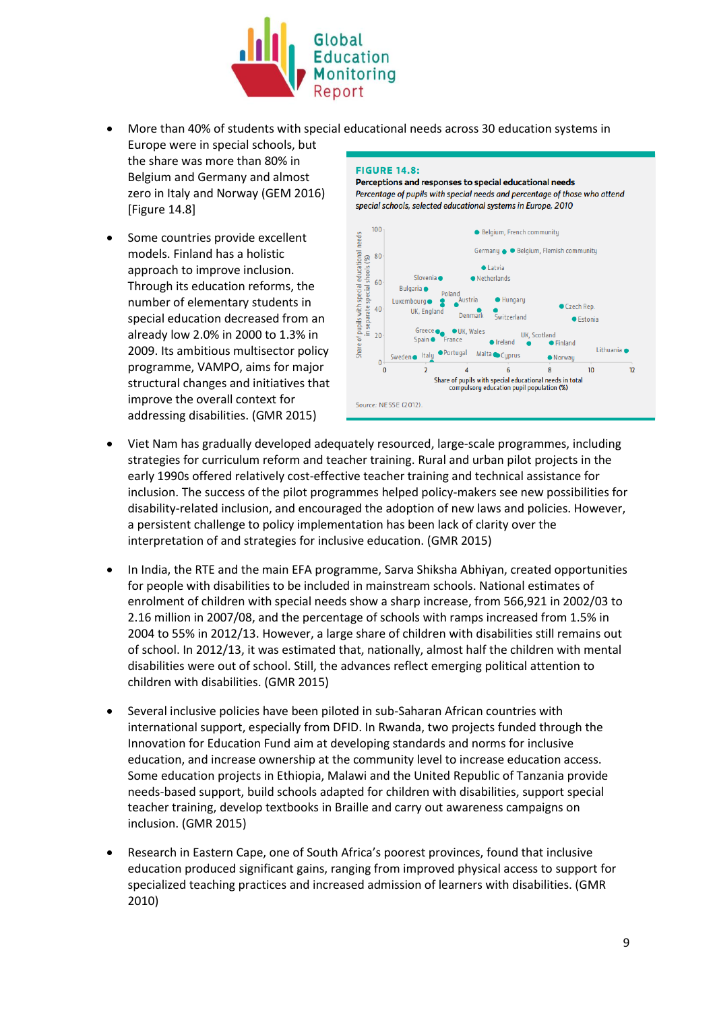

 More than 40% of students with special educational needs across 30 education systems in Europe were in special schools, but the share was more than 80% in **EIGUPE 14 R-**

Belgium and Germany and almost zero in Italy and Norway (GEM 2016) [Figure 14.8]

 Some countries provide excellent models. Finland has a holistic approach to improve inclusion. Through its education reforms, the number of elementary students in special education decreased from an already low 2.0% in 2000 to 1.3% in 2009. Its ambitious multisector policy programme, VAMPO, aims for major structural changes and initiatives that improve the overall context for addressing disabilities. (GMR 2015)

#### Percentage of pupils with special needs and percentage of those who attend special schools, selected educational systems in Europe, 2010 100 · Belgium, French community needs of pupils with special educational ne<br>in separate special shoots (%)<br>ප්රාය ද ද ද ද ද ද ප Germanu · Belgium, Flemish communitu  $\bullet$  Latvia Slovenia · · Netherlands Bulgaria · Poland istria · Hungary Luxembourg • Czech Rep. UK, England Denmark Switzerland ● Estonia Greece<br>Spain • France **OUK, Wales** UK. Scotland  $\overline{5}$ **A** Ireland • Finland  $\bullet$ Share Lithuania · • Portugal Malta Cyprus Sweden o Italy · Norwau  $\mathbf{0}$  $\overline{\mathbf{0}}$  $\overline{2}$  $\overline{6}$  $\bf8$  $10$  $12$ Share of pupils with special educational needs in total<br>compulsory education pupil population (%) Source: NESSE (2012).

Perceptions and responses to special educational needs

- Viet Nam has gradually developed adequately resourced, large-scale programmes, including strategies for curriculum reform and teacher training. Rural and urban pilot projects in the early 1990s offered relatively cost-effective teacher training and technical assistance for inclusion. The success of the pilot programmes helped policy-makers see new possibilities for disability-related inclusion, and encouraged the adoption of new laws and policies. However, a persistent challenge to policy implementation has been lack of clarity over the interpretation of and strategies for inclusive education. (GMR 2015)
- In India, the RTE and the main EFA programme, Sarva Shiksha Abhiyan, created opportunities for people with disabilities to be included in mainstream schools. National estimates of enrolment of children with special needs show a sharp increase, from 566,921 in 2002/03 to 2.16 million in 2007/08, and the percentage of schools with ramps increased from 1.5% in 2004 to 55% in 2012/13. However, a large share of children with disabilities still remains out of school. In 2012/13, it was estimated that, nationally, almost half the children with mental disabilities were out of school. Still, the advances reflect emerging political attention to children with disabilities. (GMR 2015)
- Several inclusive policies have been piloted in sub-Saharan African countries with international support, especially from DFID. In Rwanda, two projects funded through the Innovation for Education Fund aim at developing standards and norms for inclusive education, and increase ownership at the community level to increase education access. Some education projects in Ethiopia, Malawi and the United Republic of Tanzania provide needs-based support, build schools adapted for children with disabilities, support special teacher training, develop textbooks in Braille and carry out awareness campaigns on inclusion. (GMR 2015)
- Research in Eastern Cape, one of South Africa's poorest provinces, found that inclusive education produced significant gains, ranging from improved physical access to support for specialized teaching practices and increased admission of learners with disabilities. (GMR 2010)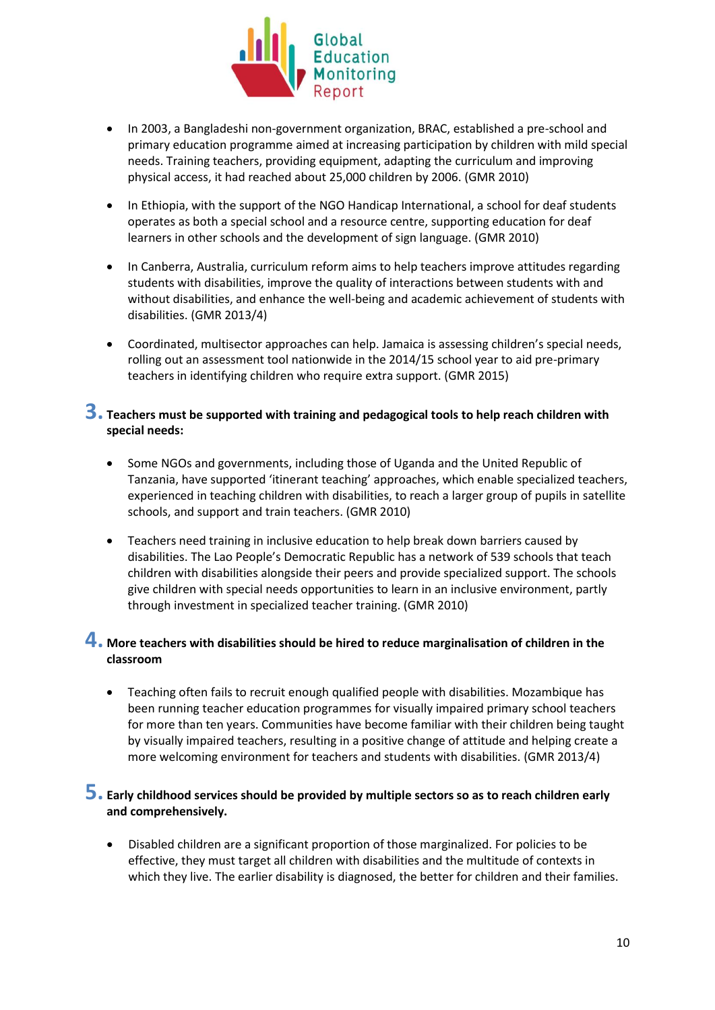

- In 2003, a Bangladeshi non-government organization, BRAC, established a pre-school and primary education programme aimed at increasing participation by children with mild special needs. Training teachers, providing equipment, adapting the curriculum and improving physical access, it had reached about 25,000 children by 2006. (GMR 2010)
- In Ethiopia, with the support of the NGO Handicap International, a school for deaf students operates as both a special school and a resource centre, supporting education for deaf learners in other schools and the development of sign language. (GMR 2010)
- In Canberra, Australia, curriculum reform aims to help teachers improve attitudes regarding students with disabilities, improve the quality of interactions between students with and without disabilities, and enhance the well-being and academic achievement of students with disabilities. (GMR 2013/4)
- Coordinated, multisector approaches can help. Jamaica is assessing children's special needs, rolling out an assessment tool nationwide in the 2014/15 school year to aid pre-primary teachers in identifying children who require extra support. (GMR 2015)

### **3. Teachers must be supported with training and pedagogical tools to help reach children with special needs:**

- Some NGOs and governments, including those of Uganda and the United Republic of Tanzania, have supported 'itinerant teaching' approaches, which enable specialized teachers, experienced in teaching children with disabilities, to reach a larger group of pupils in satellite schools, and support and train teachers. (GMR 2010)
- Teachers need training in inclusive education to help break down barriers caused by disabilities. The Lao People's Democratic Republic has a network of 539 schools that teach children with disabilities alongside their peers and provide specialized support. The schools give children with special needs opportunities to learn in an inclusive environment, partly through investment in specialized teacher training. (GMR 2010)

### **4. More teachers with disabilities should be hired to reduce marginalisation of children in the classroom**

 Teaching often fails to recruit enough qualified people with disabilities. Mozambique has been running teacher education programmes for visually impaired primary school teachers for more than ten years. Communities have become familiar with their children being taught by visually impaired teachers, resulting in a positive change of attitude and helping create a more welcoming environment for teachers and students with disabilities. (GMR 2013/4)

### **5. Early childhood services should be provided by multiple sectors so as to reach children early and comprehensively.**

 Disabled children are a significant proportion of those marginalized. For policies to be effective, they must target all children with disabilities and the multitude of contexts in which they live. The earlier disability is diagnosed, the better for children and their families.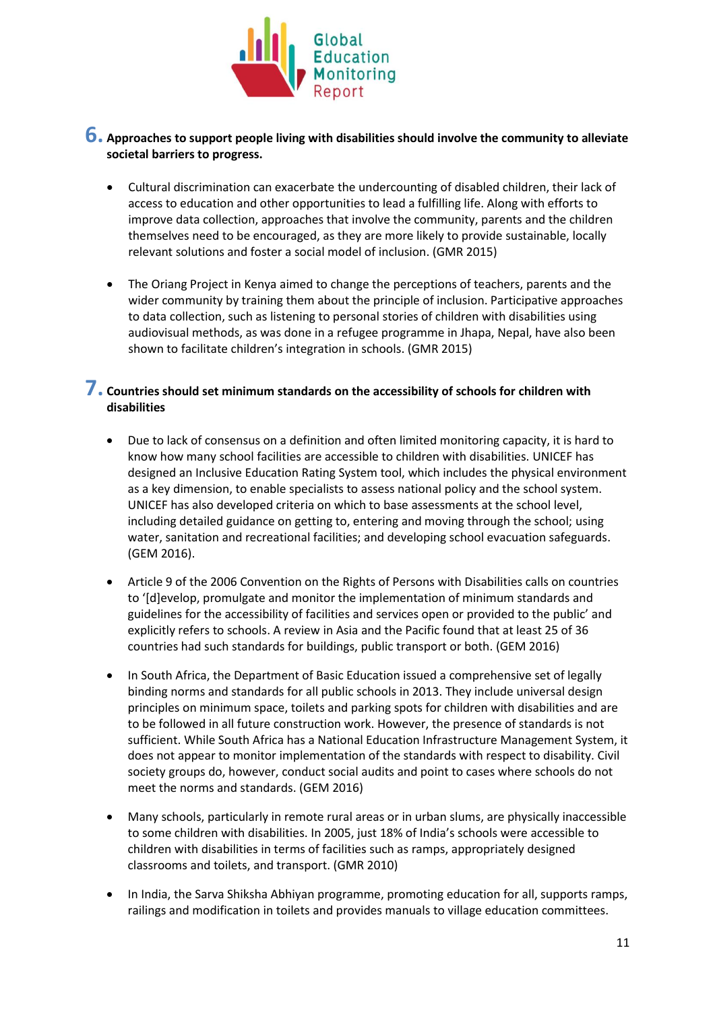

### **6. Approaches to support people living with disabilities should involve the community to alleviate societal barriers to progress.**

- Cultural discrimination can exacerbate the undercounting of disabled children, their lack of access to education and other opportunities to lead a fulfilling life. Along with efforts to improve data collection, approaches that involve the community, parents and the children themselves need to be encouraged, as they are more likely to provide sustainable, locally relevant solutions and foster a social model of inclusion. (GMR 2015)
- The Oriang Project in Kenya aimed to change the perceptions of teachers, parents and the wider community by training them about the principle of inclusion. Participative approaches to data collection, such as listening to personal stories of children with disabilities using audiovisual methods, as was done in a refugee programme in Jhapa, Nepal, have also been shown to facilitate children's integration in schools. (GMR 2015)

### **7. Countries should set minimum standards on the accessibility of schools for children with disabilities**

- Due to lack of consensus on a definition and often limited monitoring capacity, it is hard to know how many school facilities are accessible to children with disabilities. UNICEF has designed an Inclusive Education Rating System tool, which includes the physical environment as a key dimension, to enable specialists to assess national policy and the school system. UNICEF has also developed criteria on which to base assessments at the school level, including detailed guidance on getting to, entering and moving through the school; using water, sanitation and recreational facilities; and developing school evacuation safeguards. (GEM 2016).
- Article 9 of the 2006 Convention on the Rights of Persons with Disabilities calls on countries to '[d]evelop, promulgate and monitor the implementation of minimum standards and guidelines for the accessibility of facilities and services open or provided to the public' and explicitly refers to schools. A review in Asia and the Pacific found that at least 25 of 36 countries had such standards for buildings, public transport or both. (GEM 2016)
- In South Africa, the Department of Basic Education issued a comprehensive set of legally binding norms and standards for all public schools in 2013. They include universal design principles on minimum space, toilets and parking spots for children with disabilities and are to be followed in all future construction work. However, the presence of standards is not sufficient. While South Africa has a National Education Infrastructure Management System, it does not appear to monitor implementation of the standards with respect to disability. Civil society groups do, however, conduct social audits and point to cases where schools do not meet the norms and standards. (GEM 2016)
- Many schools, particularly in remote rural areas or in urban slums, are physically inaccessible to some children with disabilities. In 2005, just 18% of India's schools were accessible to children with disabilities in terms of facilities such as ramps, appropriately designed classrooms and toilets, and transport. (GMR 2010)
- In India, the Sarva Shiksha Abhiyan programme, promoting education for all, supports ramps, railings and modification in toilets and provides manuals to village education committees.